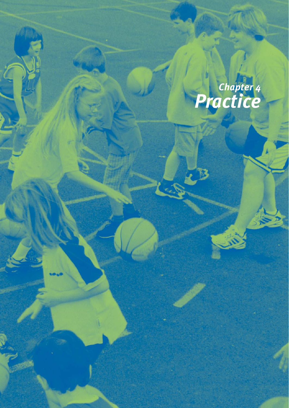# *Chapter 4 Practice*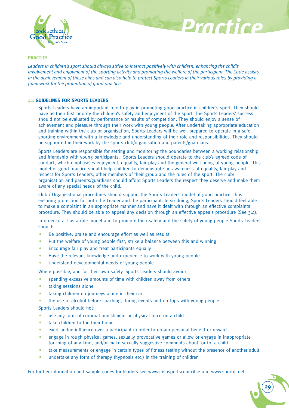

# **PRACTICE**

*Leaders in children's sport should always strive to interact positively with children, enhancing the child's involvement and enjoyment of the sporting activity and promoting the welfare of the participant. The Code assists in the achievement of these aims and can also help to protect Sports Leaders in their various roles by providing a framework for the promotion of good practice.*

*Practice*

#### **4.1 GUIDELINES FOR SPORTS LEADERS**

Sports Leaders have an important role to play in promoting good practice in children's sport. They should have as their first priority the children's safety and enjoyment of the sport. The Sports Leaders' success should not be evaluated by performance or results of competition. They should enjoy a sense of achievement and pleasure through their work with young people. After undertaking appropriate education and training within the club or organisation, Sports Leaders will be well prepared to operate in a safe sporting environment with a knowledge and understanding of their role and responsibilities. They should be supported in their work by the sports club/organisation and parents/guardians.

Sports Leaders are responsible for setting and monitoring the boundaries between a working relationship and friendship with young participants. Sports Leaders should operate to the club's agreed code of conduct, which emphasises enjoyment, equality, fair play and the general well being of young people. This model of good practice should help children to demonstrate an awareness of equality, fair play and respect for Sports Leaders, other members of their group and the rules of the sport. The club/ organisation and parents/guardians should afford Sports Leaders the respect they deserve and make them aware of any special needs of the child.

Club / Organisational procedures should support the Sports Leaders' model of good practice, thus ensuring protection for both the Leader and the participant. In so doing, Sports Leaders should feel able to make a complaint in an appropriate manner and have it dealt with through an effective complaints procedure. They should be able to appeal any decision through an effective appeals procedure (See 3.4).

In order to act as a role model and to promote their safety and the safety of young people Sports Leaders should:

- Be positive, praise and encourage effort as well as results
- Put the welfare of young people first, strike a balance between this and winning
- Encourage fair play and treat participants equally
- Have the relevant knowledge and experience to work with young people
- Understand developmental needs of young people

Where possible, and for their own safety, Sports Leaders should avoid:

- spending excessive amounts of time with children away from others
- taking sessions alone
- taking children on journeys alone in their car
- the use of alcohol before coaching, during events and on trips with young people Sports Leaders should not:
- use any form of corporal punishment or physical force on a child
- take children to the their home
- exert undue influence over a participant in order to obtain personal benefit or reward
- engage in rough physical games, sexually provocative games or allow or engage in inappropriate touching of any kind, and/or make sexually suggestive comments about, or to, a child
- take measurements or engage in certain types of fitness testing without the presence of another adult
- undertake any form of therapy (hypnosis etc.) in the training of children

For further information and sample codes for leaders see www.irishsportscouncil.ie and www.sportni.net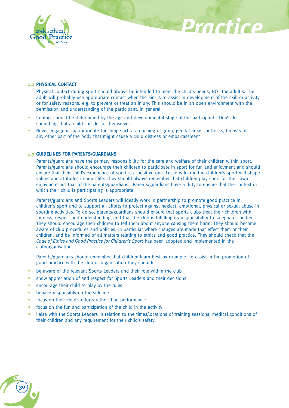

#### **4.2 PHYSICAL CONTACT**

Physical contact during sport should always be intended to meet the child's needs, NOT the adult's. The adult will probably use appropriate contact when the aim is to assist in development of the skill or activity or for safety reasons, e.g. to prevent or treat an injury. This should be in an open environment with the permission and understanding of the participant. In general

*Practice*

- Contact should be determined by the age and developmental stage of the participant Don't do something that a child can do for themselves
- Never engage in inappropriate touching such as touching of groin, genital areas, buttocks, breasts or any other part of the body that might cause a child distress or embarrassment

#### **4.3 GUIDELINES FOR PARENTS/GUARDIANS**

Parents/guardians have the primary responsibility for the care and welfare of their children within sport. Parents/guardians should encourage their children to participate in sport for fun and enjoyment and should ensure that their child's experience of sport is a positive one. Lessons learned in children's sport will shape values and attitudes in adult life. They should always remember that children play sport for their own enjoyment not that of the parents/guardians. Parents/guardians have a duty to ensure that the context in which their child is participating is appropriate.

Parents/guardians and Sports Leaders will ideally work in partnership to promote good practice in children's sport and to support all efforts to protect against neglect, emotional, physical or sexual abuse in sporting activities. To do so, parents/guardians should ensure that sports clubs treat their children with fairness, respect and understanding, and that the club is fulfilling its responsibility to safeguard children. They should encourage their children to tell them about anyone causing them harm. They should become aware of club procedures and policies, in particular where changes are made that effect them or their children, and be informed of all matters relating to ethics and good practice. They should check that the *Code of Ethics and Good Practice for Children's Sport* has been adopted and implemented in the club/organisation.

Parents/guardians should remember that children learn best by example. To assist in the promotion of good practice with the club or organisation they should**:**

- be aware of the relevant Sports Leaders and their role within the club
- show appreciation of and respect for Sports Leaders and their decisions
- encourage their child to play by the rules
- behave responsibly on the sideline

- focus on their child's efforts rather than performance
- focus on the fun and participation of the child in the activity
- liaise with the Sports Leaders in relation to the times/locations of training sessions, medical conditions of their children and any requirement for their child's safety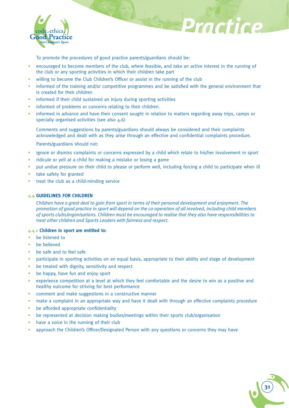

To promote the procedures of good practice parents/guardians should be:

• encouraged to become members of the club, where feasible, and take an active interest in the running of the club or any sporting activities in which their children take part

*Practice*

- willing to become the Club Children's Officer or assist in the running of the club
- informed of the training and/or competitive programmes and be satisfied with the general environment that is created for their children
- informed if their child sustained an injury during sporting activities
- informed of problems or concerns relating to their children.
- informed in advance and have their consent sought in relation to matters regarding away trips, camps or specially organised activities (see also 4.6)

Comments and suggestions by parents/guardians should always be considered and their complaints acknowledged and dealt with as they arise through an effective and confidential complaints procedure.

Parents/guardians should not:

- ignore or dismiss complaints or concerns expressed by a child which relate to his/her involvement in sport
- ridicule or yell at a child for making a mistake or losing a game
- put undue pressure on their child to please or perform well, including forcing a child to participate when ill
- take safety for granted
- treat the club as a child-minding service

### **4.4 GUIDELINES FOR CHILDREN**

*Children have a great deal to gain from sport in terms of their personal development and enjoyment. The promotion of good practice in sport will depend on the co-operation of all involved, including child members of sports clubs/organisations. Children must be encouraged to realise that they also have responsibilities to treat other children and Sports Leaders with fairness and respect.*

### **4.4.1 Children in sport are entitled to:**

- be listened to
- be believed
- be safe and to feel safe
- participate in sporting activities on an equal basis, appropriate to their ability and stage of development
- be treated with dignity, sensitivity and respect
- be happy, have fun and enjoy sport
- experience competition at a level at which they feel comfortable and the desire to win as a positive and healthy outcome for striving for best performance
- comment and make suggestions in a constructive manner
- make a complaint in an appropriate way and have it dealt with through an effective complaints procedure

- be afforded appropriate confidentiality
- be represented at decision making bodies/meetings within their sports club/organisation
- have a voice in the running of their club
- approach the Children's Officer/Designated Person with any questions or concerns they may have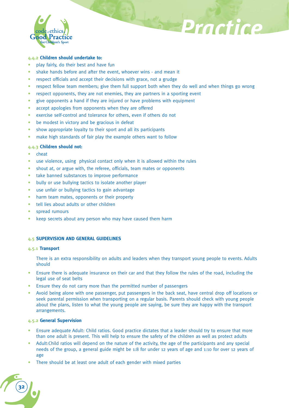

# *Practice*

#### **4.4.2 Children should undertake to:**

- play fairly, do their best and have fun
- shake hands before and after the event, whoever wins and mean it
- respect officials and accept their decisions with grace, not a grudge
- respect fellow team members; give them full support both when they do well and when things go wrong
- respect opponents, they are not enemies, they are partners in a sporting event
- give opponents a hand if they are injured or have problems with equipment
- accept apologies from opponents when they are offered
- exercise self-control and tolerance for others, even if others do not
- be modest in victory and be gracious in defeat
- show appropriate loyalty to their sport and all its participants
- make high standards of fair play the example others want to follow

#### **4.4.3 Children should not:**

- cheat
- use violence, using physical contact only when it is allowed within the rules
- shout at, or argue with, the referee, officials, team mates or opponents
- take banned substances to improve performance
- bully or use bullying tactics to isolate another player
- use unfair or bullying tactics to gain advantage
- harm team mates, opponents or their property
- tell lies about adults or other children
- spread rumours
- keep secrets about any person who may have caused them harm

## **4.5 SUPERVISION AND GENERAL GUIDELINES**

#### **4.5.1 Transport**

There is an extra responsibility on adults and leaders when they transport young people to events. Adults should

- Ensure there is adequate insurance on their car and that they follow the rules of the road, including the legal use of seat belts
- Ensure they do not carry more than the permitted number of passengers
- Avoid being alone with one passenger, put passengers in the back seat, have central drop off locations or seek parental permission when transporting on a regular basis. Parents should check with young people about the plans, listen to what the young people are saying, be sure they are happy with the transport arrangements.

#### **4.5.2 General Supervision**

- Ensure adequate Adult: Child ratios. Good practice dictates that a leader should try to ensure that more than one adult is present. This will help to ensure the safety of the children as well as protect adults
- Adult:Child ratios will depend on the nature of the activity, the age of the participants and any special needs of the group, a general guide might be 1:8 for under 12 years of age and 1:10 for over 12 years of age
- There should be at least one adult of each gender with mixed parties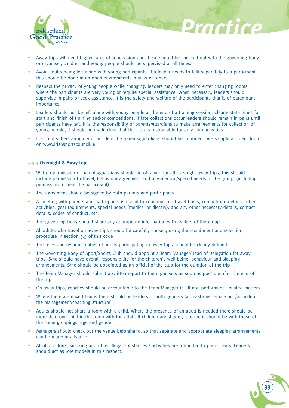

• Away trips will need higher rates of supervision and these should be checked out with the governing body or organiser, children and young people should be supervised at all times.

*Practice*

**33**

- Avoid adults being left alone with young participants, if a leader needs to talk separately to a participant this should be done in an open environment, in view of others
- Respect the privacy of young people while changing, leaders may only need to enter changing rooms where the participants are very young or require special assistance. When necessary, leaders should supervise in pairs or seek assistance, it is the safety and welfare of the participants that is of paramount importance
- Leaders should not be left alone with young people at the end of a training session. Clearly state times for start and finish of training and/or competitions. If late collections occur leaders should remain in pairs until participants have left. It is the responsibility of parents/guardians to make arrangements for collection of young people, it should be made clear that the club is responsible for only club activities
- If a child suffers an injury or accident the parents/guardians should be informed. See sample accident form on www.irishsportscouncil.ie

#### **4.5.3 Overnight & Away trips**

- Written permission of parents/guardians should be obtained for all overnight away trips, this should include permission to travel, behaviour agreement and any medical/special needs of the group, (including permission to treat the participant)
- The agreement should be signed by both parents and participants
- A meeting with parents and participants is useful to communicate travel times, competition details, other activities, gear requirements, special needs (medical or dietary), and any other necessary details, contact details, codes of conduct, etc.
- The governing body should share any appropriate information with leaders of the group
- All adults who travel on away trips should be carefully chosen, using the recruitment and selection procedure in section 3.5 of this code
- The roles and responsibilities of adults participating in away trips should be clearly defined
- The Governing Body of Sport/Sports Club should appoint a Team Manager/Head of Delegation for away trips. S/he should have overall responsibility for the children's well-being, behaviour and sleeping arrangements. S/he should be appointed as an official of the club for the duration of the trip
- The Team Manager should submit a written report to the organisers as soon as possible after the end of the trip
- On away trips, coaches should be accountable to the Team Manager in all non-performance related matters
- Where there are mixed teams there should be leaders of both genders (at least one female and/or male in the management/coaching structure)
- Adults should not share a room with a child. Where the presence of an adult is needed there should be more than one child in the room with the adult. If children are sharing a room, it should be with those of the same groupings, age and gender
- Managers should check out the venue beforehand, so that separate and appropriate sleeping arrangements can be made in advance
- Alcoholic drink, smoking and other illegal substances / activities are forbidden to participants. Leaders should act as role models in this respect.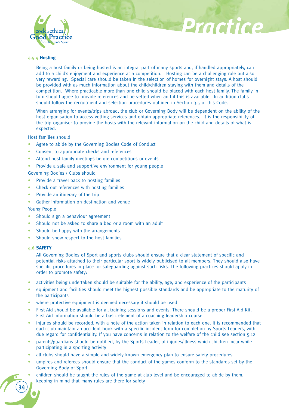

# *Practice*

#### **4.5.4 Hosting**

Being a host family or being hosted is an integral part of many sports and, if handled appropriately, can add to a child's enjoyment and experience at a competition. Hosting can be a challenging role but also very rewarding. Special care should be taken in the selection of homes for overnight stays. A host should be provided with as much information about the child/children staying with them and details of the competition. Where practicable more than one child should be placed with each host family. The family in turn should agree to provide references and be vetted when and if this is available. In addition clubs should follow the recruitment and selection procedures outlined in Section 3.5 of this Code.

When arranging for events/trips abroad, the club or Governing Body will be dependent on the ability of the host organisation to access vetting services and obtain appropriate references. It is the responsibility of the trip organiser to provide the hosts with the relevant information on the child and details of what is expected.

Host families should

- Agree to abide by the Governing Bodies Code of Conduct
- Consent to appropriate checks and references
- Attend host family meetings before competitions or events
- Provide a safe and supportive environment for young people

Governing Bodies / Clubs should

- Provide a travel pack to hosting families
- Check out references with hosting families
- Provide an itinerary of the trip
- Gather information on destination and venue

#### Young People

- Should sign a behaviour agreement
- Should not be asked to share a bed or a room with an adult
- Should be happy with the arrangements
- Should show respect to the host families

#### **4.6 SAFETY**

All Governing Bodies of Sport and sports clubs should ensure that a clear statement of specific and potential risks attached to their particular sport is widely publicised to all members. They should also have specific procedures in place for safeguarding against such risks. The following practices should apply in order to promote safety:

- activities being undertaken should be suitable for the ability, age, and experience of the participants
- equipment and facilities should meet the highest possible standards and be appropriate to the maturity of the participants
- where protective equipment is deemed necessary it should be used
- First Aid should be available for all-training sessions and events. There should be a proper First Aid Kit. First Aid information should be a basic element of a coaching leadership course
- injuries should be recorded, with a note of the action taken in relation to each one. It is recommended that each club maintain an accident book with a specific incident form for completion by Sports Leaders, with due regard for confidentiality. If you have concerns in relation to the welfare of the child see section 5.12
- parents/guardians should be notified, by the Sports Leader, of injuries/illness which children incur while participating in a sporting activity
- all clubs should have a simple and widely known emergency plan to ensure safety procedures
- umpires and referees should ensure that the conduct of the games conform to the standards set by the Governing Body of Sport
- children should be taught the rules of the game at club level and be encouraged to abide by them, keeping in mind that many rules are there for safety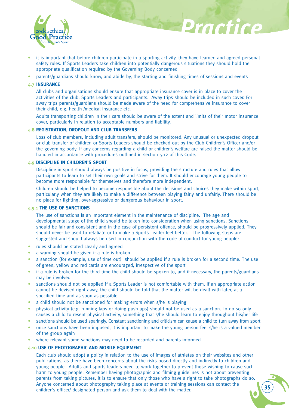

• it is important that before children participate in a sporting activity, they have learned and agreed personal safety rules. If Sports Leaders take children into potentially dangerous situations they should hold the appropriate qualification required by the Governing Body concerned

*Practice*

• parents/guardians should know, and abide by, the starting and finishing times of sessions and events

#### **4.7 INSURANCE**

All clubs and organisations should ensure that appropriate insurance cover is in place to cover the activities of the club, Sports Leaders and participants. Away trips should be included in such cover. For away trips parents/guardians should be made aware of the need for comprehensive insurance to cover their child, e.g. health /medical insurance etc.

Adults transporting children in their cars should be aware of the extent and limits of their motor insurance cover, particularly in relation to acceptable numbers and liability.

#### **4.8 REGISTRATION, DROPOUT AND CLUB TRANSFERS**

Loss of club members, including adult transfers, should be monitored. Any unusual or unexpected dropout or club transfer of children or Sports Leaders should be checked out by the Club Children's Officer and/or the governing body. If any concerns regarding a child or children's welfare are raised the matter should be handled in accordance with procedures outlined in section 5.12 of this Code.

# **4.9 DISCIPLINE IN CHILDREN'S SPORT**

Discipline in sport should always be positive in focus, providing the structure and rules that allow participants to learn to set their own goals and strive for them. It should encourage young people to become more responsible for themselves and therefore more independent.

Children should be helped to become responsible about the decisions and choices they make within sport, particularly when they are likely to make a difference between playing fairly and unfairly. There should be no place for fighting, over-aggressive or dangerous behaviour in sport.

#### **4.9.1 THE USE OF SANCTIONS**

The use of sanctions is an important element in the maintenance of discipline. The age and developmental stage of the child should be taken into consideration when using sanctions. Sanctions should be fair and consistent and in the case of persistent offence, should be progressively applied. They should never be used to retaliate or to make a Sports Leader feel better. The following steps are suggested and should always be used in conjunction with the code of conduct for young people:

- rules should be stated clearly and agreed
- a warning should be given if a rule is broken
- a sanction (for example, use of time out) should be applied if a rule is broken for a second time. The use of green, yellow and red cards are encouraged, irrespective of the sport
- if a rule is broken for the third time the child should be spoken to, and if necessary, the parents/guardians may be involved
- sanctions should not be applied if a Sports Leader is not comfortable with them. If an appropriate action cannot be devised right away, the child should be told that the matter will be dealt with later, at a specified time and as soon as possible
- a child should not be sanctioned for making errors when s/he is playing
- physical activity (e.g. running laps or doing push-ups) should not be used as a sanction. To do so only causes a child to resent physical activity, something that s/he should learn to enjoy throughout his/her life
- sanctions should be used sparingly. Constant sanctioning and criticism can cause a child to turn away from sport
- once sanctions have been imposed, it is important to make the young person feel s/he is a valued member of the group again
- where relevant some sanctions may need to be recorded and parents informed

# **4.10 USE OF PHOTOGRAPHIC AND MOBILE EQUIPMENT**

Each club should adopt a policy in relation to the use of images of athletes on their websites and other publications, as there have been concerns about the risks posed directly and indirectly to children and young people. Adults and sports leaders need to work together to prevent those wishing to cause such harm to young people. Remember having photographic and filming guidelines is not about preventing parents from taking pictures, it is to ensure that only those who have a right to take photographs do so. Anyone concerned about photography taking place at events or training sessions can contact the children's officer/ designated person and ask them to deal with the matter. **<sup>35</sup>**